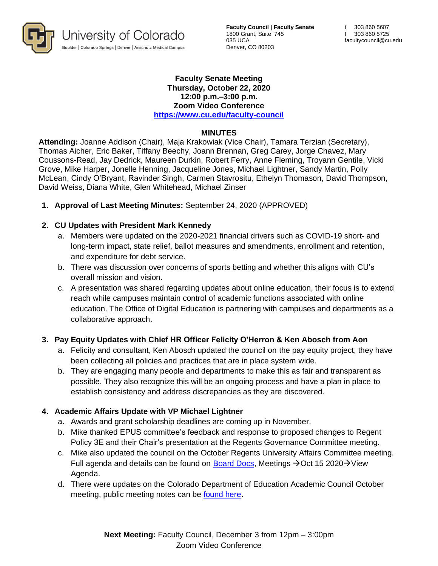

**Faculty Council | Faculty Senate** 1800 Grant, Suite 745 035 UCA Denver, CO 80203

### **Faculty Senate Meeting Thursday, October 22, 2020 12:00 p.m.–3:00 p.m. Zoom Video Conference <https://www.cu.edu/faculty-council>**

## **MINUTES**

**Attending:** Joanne Addison (Chair), Maja Krakowiak (Vice Chair), Tamara Terzian (Secretary), Thomas Aicher, Eric Baker, Tiffany Beechy, Joann Brennan, Greg Carey, Jorge Chavez, Mary Coussons-Read, Jay Dedrick, Maureen Durkin, Robert Ferry, Anne Fleming, Troyann Gentile, Vicki Grove, Mike Harper, Jonelle Henning, Jacqueline Jones, Michael Lightner, Sandy Martin, Polly McLean, Cindy O'Bryant, Ravinder Singh, Carmen Stavrositu, Ethelyn Thomason, David Thompson, David Weiss, Diana White, Glen Whitehead, Michael Zinser

**1. Approval of Last Meeting Minutes:** September 24, 2020 (APPROVED)

## **2. CU Updates with President Mark Kennedy**

- a. Members were updated on the 2020-2021 financial drivers such as COVID-19 short- and long-term impact, state relief, ballot measures and amendments, enrollment and retention, and expenditure for debt service.
- b. There was discussion over concerns of sports betting and whether this aligns with CU's overall mission and vision.
- c. A presentation was shared regarding updates about online education, their focus is to extend reach while campuses maintain control of academic functions associated with online education. The Office of Digital Education is partnering with campuses and departments as a collaborative approach.

## **3. Pay Equity Updates with Chief HR Officer Felicity O'Herron & Ken Abosch from Aon**

- a. Felicity and consultant, Ken Abosch updated the council on the pay equity project, they have been collecting all policies and practices that are in place system wide.
- b. They are engaging many people and departments to make this as fair and transparent as possible. They also recognize this will be an ongoing process and have a plan in place to establish consistency and address discrepancies as they are discovered.

## **4. Academic Affairs Update with VP Michael Lightner**

- a. Awards and grant scholarship deadlines are coming up in November.
- b. Mike thanked EPUS committee's feedback and response to proposed changes to Regent Policy 3E and their Chair's presentation at the Regents Governance Committee meeting.
- c. Mike also updated the council on the October Regents University Affairs Committee meeting. Full agenda and details can be found on [Board Docs,](https://go.boarddocs.com/co/cu/Board.nsf/vpublic?open) Meetings  $\rightarrow$  Oct 15 2020 $\rightarrow$  View Agenda.
- d. There were updates on the Colorado Department of Education Academic Council October meeting, public meeting notes can be [found here.](https://cdhe.colorado.gov/sites/highered/files/2020-03/2019-10-08-notes-ac.pdf)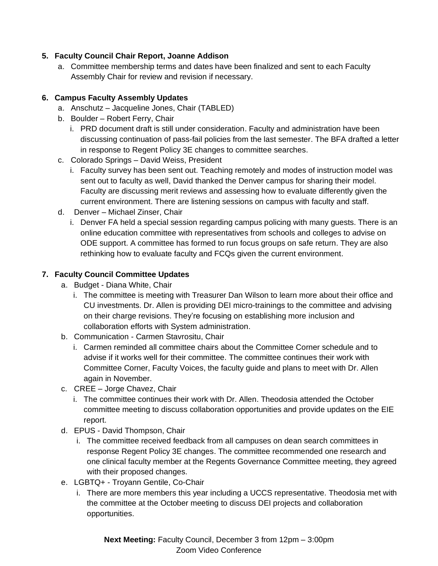# **5. Faculty Council Chair Report, Joanne Addison**

a. Committee membership terms and dates have been finalized and sent to each Faculty Assembly Chair for review and revision if necessary.

# **6. Campus Faculty Assembly Updates**

- a. Anschutz Jacqueline Jones, Chair (TABLED)
- b. Boulder Robert Ferry, Chair
	- i. PRD document draft is still under consideration. Faculty and administration have been discussing continuation of pass-fail policies from the last semester. The BFA drafted a letter in response to Regent Policy 3E changes to committee searches.
- c. Colorado Springs David Weiss, President
	- i. Faculty survey has been sent out. Teaching remotely and modes of instruction model was sent out to faculty as well, David thanked the Denver campus for sharing their model. Faculty are discussing merit reviews and assessing how to evaluate differently given the current environment. There are listening sessions on campus with faculty and staff.
- d. Denver Michael Zinser, Chair
	- i. Denver FA held a special session regarding campus policing with many guests. There is an online education committee with representatives from schools and colleges to advise on ODE support. A committee has formed to run focus groups on safe return. They are also rethinking how to evaluate faculty and FCQs given the current environment.

## **7. Faculty Council Committee Updates**

- a. Budget Diana White, Chair
	- i. The committee is meeting with Treasurer Dan Wilson to learn more about their office and CU investments. Dr. Allen is providing DEI micro-trainings to the committee and advising on their charge revisions. They're focusing on establishing more inclusion and collaboration efforts with System administration.
- b. Communication Carmen Stavrositu, Chair
	- i. Carmen reminded all committee chairs about the Committee Corner schedule and to advise if it works well for their committee. The committee continues their work with Committee Corner, Faculty Voices, the faculty guide and plans to meet with Dr. Allen again in November.
- c. CREE Jorge Chavez, Chair
	- i. The committee continues their work with Dr. Allen. Theodosia attended the October committee meeting to discuss collaboration opportunities and provide updates on the EIE report.
- d. EPUS David Thompson, Chair
	- i. The committee received feedback from all campuses on dean search committees in response Regent Policy 3E changes. The committee recommended one research and one clinical faculty member at the Regents Governance Committee meeting, they agreed with their proposed changes.
- e. LGBTQ+ Troyann Gentile, Co-Chair
	- i. There are more members this year including a UCCS representative. Theodosia met with the committee at the October meeting to discuss DEI projects and collaboration opportunities.